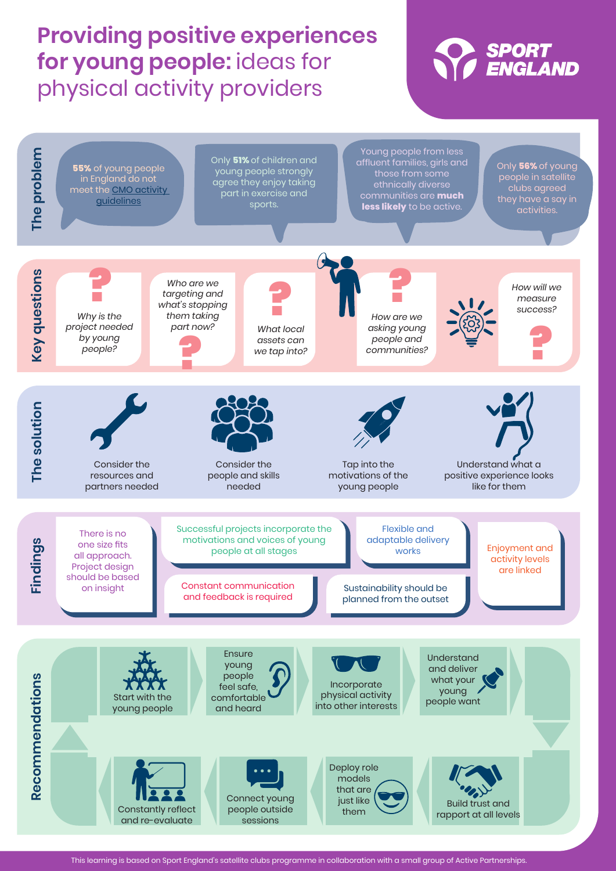# **Providing positive experiences for young people:** ideas for physical activity providers





This learning is based on Sport England's satellite clubs programme in collaboration with a small group of Active Partnerships.